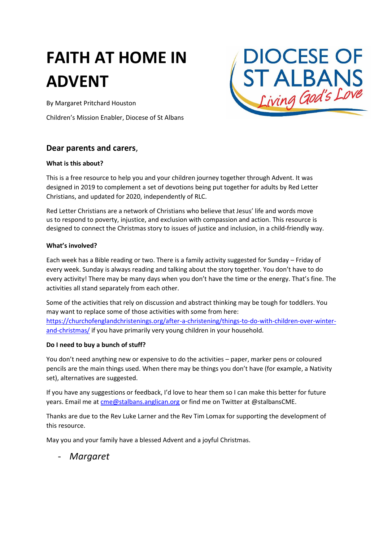# **FAITH AT HOME IN ADVENT**

By Margaret Pritchard Houston

Children's Mission Enabler, Diocese of St Albans



### **Dear parents and carers**,

#### **What is this about?**

This is a free resource to help you and your children journey together through Advent. It was designed in 2019 to complement a set of devotions being put together for adults by Red Letter Christians, and updated for 2020, independently of RLC.

Red Letter Christians are a network of Christians who believe that Jesus' life and words move us to respond to poverty, injustice, and exclusion with compassion and action. This resource is designed to connect the Christmas story to issues of justice and inclusion, in a child-friendly way.

#### **What's involved?**

Each week has a Bible reading or two. There is a family activity suggested for Sunday – Friday of every week. Sunday is always reading and talking about the story together. You don't have to do every activity! There may be many days when you don't have the time or the energy. That's fine. The activities all stand separately from each other.

Some of the activities that rely on discussion and abstract thinking may be tough for toddlers. You may want to replace some of those activities with some from here: [https://churchofenglandchristenings.org/after-a-christening/things-to-do-with-children-over-winter](https://churchofenglandchristenings.org/after-a-christening/things-to-do-with-children-over-winter-and-christmas/)[and-christmas/](https://churchofenglandchristenings.org/after-a-christening/things-to-do-with-children-over-winter-and-christmas/) if you have primarily very young children in your household.

#### **Do I need to buy a bunch of stuff?**

You don't need anything new or expensive to do the activities – paper, marker pens or coloured pencils are the main things used. When there may be things you don't have (for example, a Nativity set), alternatives are suggested.

If you have any suggestions or feedback, I'd love to hear them so I can make this better for future years. Email me at [cme@stalbans.anglican.org](mailto:cme@stalbans.anglican.org) or find me on Twitter at @stalbansCME.

Thanks are due to the Rev Luke Larner and the Rev Tim Lomax for supporting the development of this resource.

May you and your family have a blessed Advent and a joyful Christmas.

- *Margaret*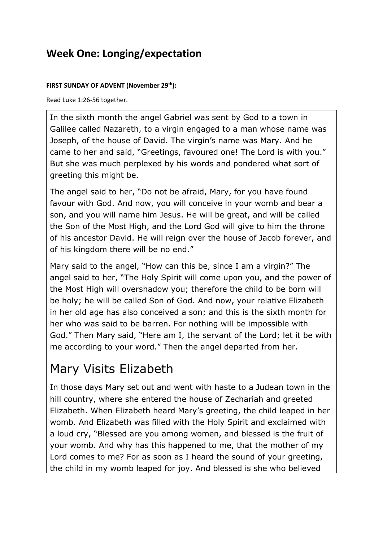### **Week One: Longing/expectation**

### **FIRST SUNDAY OF ADVENT (November 29th):**

Read Luke 1:26-56 together.

In the sixth month the angel Gabriel was sent by God to a town in Galilee called Nazareth, to a virgin engaged to a man whose name was Joseph, of the house of David. The virgin's name was Mary. And he came to her and said, "Greetings, favoured one! The Lord is with you." But she was much perplexed by his words and pondered what sort of greeting this might be.

The angel said to her, "Do not be afraid, Mary, for you have found favour with God. And now, you will conceive in your womb and bear a son, and you will name him Jesus. He will be great, and will be called the Son of the Most High, and the Lord God will give to him the throne of his ancestor David. He will reign over the house of Jacob forever, and of his kingdom there will be no end."

Mary said to the angel, "How can this be, since I am a virgin?" The angel said to her, "The Holy Spirit will come upon you, and the power of the Most High will overshadow you; therefore the child to be born will be holy; he will be called Son of God. And now, your relative Elizabeth in her old age has also conceived a son; and this is the sixth month for her who was said to be barren. For nothing will be impossible with God." Then Mary said, "Here am I, the servant of the Lord; let it be with me according to your word." Then the angel departed from her.

# Mary Visits Elizabeth

In those days Mary set out and went with haste to a Judean town in the hill country, where she entered the house of Zechariah and greeted Elizabeth. When Elizabeth heard Mary's greeting, the child leaped in her womb. And Elizabeth was filled with the Holy Spirit and exclaimed with a loud cry, "Blessed are you among women, and blessed is the fruit of your womb. And why has this happened to me, that the mother of my Lord comes to me? For as soon as I heard the sound of your greeting, the child in my womb leaped for joy. And blessed is she who believed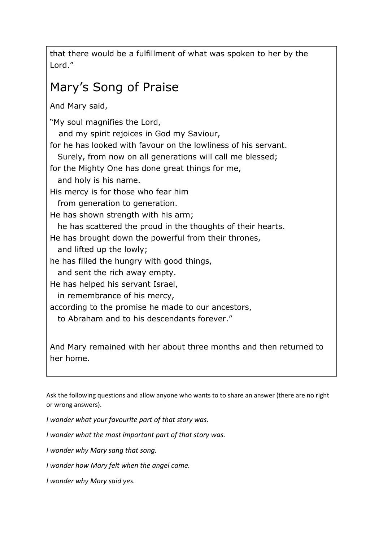that there would be a fulfillment of what was spoken to her by the Lord."

# Mary's Song of Praise

And Mary said,

"My soul magnifies the Lord, and my spirit rejoices in God my Saviour, for he has looked with favour on the lowliness of his servant. Surely, from now on all generations will call me blessed; for the Mighty One has done great things for me, and holy is his name. His mercy is for those who fear him from generation to generation. He has shown strength with his arm; he has scattered the proud in the thoughts of their hearts. He has brought down the powerful from their thrones, and lifted up the lowly; he has filled the hungry with good things, and sent the rich away empty. He has helped his servant Israel, in remembrance of his mercy, according to the promise he made to our ancestors, to Abraham and to his descendants forever."

And Mary remained with her about three months and then returned to her home.

Ask the following questions and allow anyone who wants to to share an answer (there are no right or wrong answers).

*I wonder what your favourite part of that story was.*

*I wonder what the most important part of that story was.*

*I wonder why Mary sang that song.*

*I wonder how Mary felt when the angel came.*

*I wonder why Mary said yes.*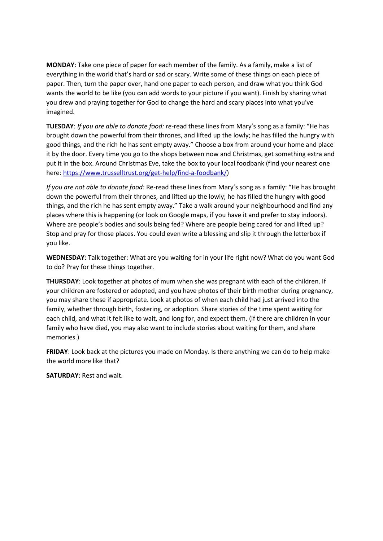**MONDAY**: Take one piece of paper for each member of the family. As a family, make a list of everything in the world that's hard or sad or scary. Write some of these things on each piece of paper. Then, turn the paper over, hand one paper to each person, and draw what you think God wants the world to be like (you can add words to your picture if you want). Finish by sharing what you drew and praying together for God to change the hard and scary places into what you've imagined.

**TUESDAY**: *If you are able to donate food: re*-read these lines from Mary's song as a family: "He has brought down the powerful from their thrones, and lifted up the lowly; he has filled the hungry with good things, and the rich he has sent empty away." Choose a box from around your home and place it by the door. Every time you go to the shops between now and Christmas, get something extra and put it in the box. Around Christmas Eve, take the box to your local foodbank (find your nearest one here: [https://www.trusselltrust.org/get-help/find-a-foodbank/\)](https://www.trusselltrust.org/get-help/find-a-foodbank/)

*If you are not able to donate food:* Re-read these lines from Mary's song as a family: "He has brought down the powerful from their thrones, and lifted up the lowly; he has filled the hungry with good things, and the rich he has sent empty away." Take a walk around your neighbourhood and find any places where this is happening (or look on Google maps, if you have it and prefer to stay indoors). Where are people's bodies and souls being fed? Where are people being cared for and lifted up? Stop and pray for those places. You could even write a blessing and slip it through the letterbox if you like.

**WEDNESDAY**: Talk together: What are you waiting for in your life right now? What do you want God to do? Pray for these things together.

**THURSDAY**: Look together at photos of mum when she was pregnant with each of the children. If your children are fostered or adopted, and you have photos of their birth mother during pregnancy, you may share these if appropriate. Look at photos of when each child had just arrived into the family, whether through birth, fostering, or adoption. Share stories of the time spent waiting for each child, and what it felt like to wait, and long for, and expect them. (If there are children in your family who have died, you may also want to include stories about waiting for them, and share memories.)

**FRIDAY**: Look back at the pictures you made on Monday. Is there anything we can do to help make the world more like that?

**SATURDAY**: Rest and wait.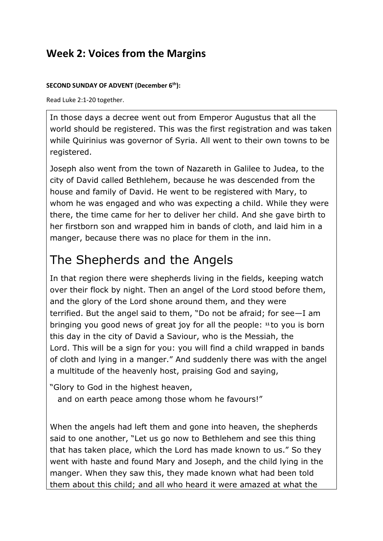### **Week 2: Voices from the Margins**

### **SECOND SUNDAY OF ADVENT (December 6 th):**

Read Luke 2:1-20 together.

In those days a decree went out from Emperor Augustus that all the world should be registered. This was the first registration and was taken while Quirinius was governor of Syria. All went to their own towns to be registered.

Joseph also went from the town of Nazareth in Galilee to Judea, to the city of David called Bethlehem, because he was descended from the house and family of David. He went to be registered with Mary, to whom he was engaged and who was expecting a child. While they were there, the time came for her to deliver her child. And she gave birth to her firstborn son and wrapped him in bands of cloth, and laid him in a manger, because there was no place for them in the inn.

# The Shepherds and the Angels

In that region there were shepherds living in the fields, keeping watch over their flock by night. Then an angel of the Lord stood before them, and the glory of the Lord shone around them, and they were terrified. But the angel said to them, "Do not be afraid; for see—I am bringing you good news of great joy for all the people: **<sup>11</sup>** to you is born this day in the city of David a Saviour, who is the Messiah, the Lord. This will be a sign for you: you will find a child wrapped in bands of cloth and lying in a manger." And suddenly there was with the angel a multitude of the heavenly host, praising God and saying,

"Glory to God in the highest heaven,

and on earth peace among those whom he favours!"

When the angels had left them and gone into heaven, the shepherds said to one another, "Let us go now to Bethlehem and see this thing that has taken place, which the Lord has made known to us." So they went with haste and found Mary and Joseph, and the child lying in the manger. When they saw this, they made known what had been told them about this child; and all who heard it were amazed at what the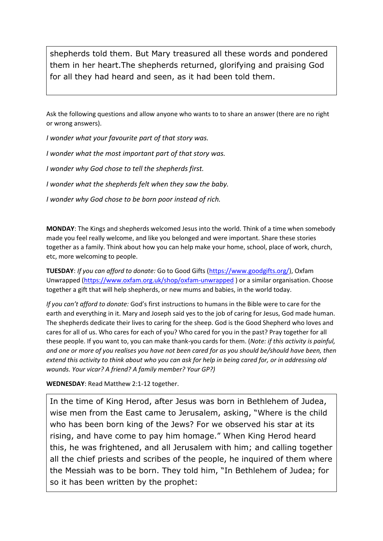shepherds told them. But Mary treasured all these words and pondered them in her heart.The shepherds returned, glorifying and praising God for all they had heard and seen, as it had been told them.

Ask the following questions and allow anyone who wants to to share an answer (there are no right or wrong answers).

*I wonder what your favourite part of that story was.*

*I wonder what the most important part of that story was.*

*I wonder why God chose to tell the shepherds first.*

*I wonder what the shepherds felt when they saw the baby.*

*I wonder why God chose to be born poor instead of rich.*

**MONDAY**: The Kings and shepherds welcomed Jesus into the world. Think of a time when somebody made you feel really welcome, and like you belonged and were important. Share these stories together as a family. Think about how you can help make your home, school, place of work, church, etc, more welcoming to people.

**TUESDAY**: *If you can afford to donate:* Go to Good Gifts [\(https://www.goodgifts.org/\)](https://www.goodgifts.org/), Oxfam Unwrapped [\(https://www.oxfam.org.uk/shop/oxfam-unwrapped](https://www.oxfam.org.uk/shop/oxfam-unwrapped) ) or a similar organisation. Choose together a gift that will help shepherds, or new mums and babies, in the world today.

*If you can't afford to donate:* God's first instructions to humans in the Bible were to care for the earth and everything in it. Mary and Joseph said yes to the job of caring for Jesus, God made human. The shepherds dedicate their lives to caring for the sheep. God is the Good Shepherd who loves and cares for all of us. Who cares for each of you? Who cared for you in the past? Pray together for all these people. If you want to, you can make thank-you cards for them. (*Note: if this activity is painful, and one or more of you realises you have not been cared for as you should be/should have been, then extend this activity to think about who you can ask for help in being cared for, or in addressing old wounds. Your vicar? A friend? A family member? Your GP?)*

**WEDNESDAY**: Read Matthew 2:1-12 together.

In the time of King Herod, after Jesus was born in Bethlehem of Judea, wise men from the East came to Jerusalem, asking, "Where is the child who has been born king of the Jews? For we observed his star at its rising, and have come to pay him homage." When King Herod heard this, he was frightened, and all Jerusalem with him; and calling together all the chief priests and scribes of the people, he inquired of them where the Messiah was to be born. They told him, "In Bethlehem of Judea; for so it has been written by the prophet: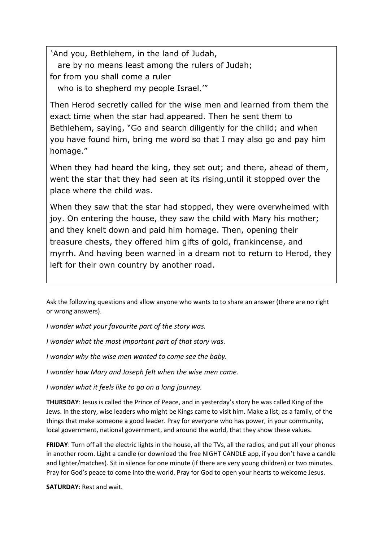'And you, Bethlehem, in the land of Judah, are by no means least among the rulers of Judah; for from you shall come a ruler who is to shepherd my people Israel.'"

Then Herod secretly called for the wise men and learned from them the exact time when the star had appeared. Then he sent them to Bethlehem, saying, "Go and search diligently for the child; and when you have found him, bring me word so that I may also go and pay him homage."

When they had heard the king, they set out; and there, ahead of them, went the star that they had seen at its rising,until it stopped over the place where the child was.

When they saw that the star had stopped, they were overwhelmed with joy. On entering the house, they saw the child with Mary his mother; and they knelt down and paid him homage. Then, opening their treasure chests, they offered him gifts of gold, frankincense, and myrrh. And having been warned in a dream not to return to Herod, they left for their own country by another road.

Ask the following questions and allow anyone who wants to to share an answer (there are no right or wrong answers).

*I wonder what your favourite part of the story was.*

*I wonder what the most important part of that story was.*

*I wonder why the wise men wanted to come see the baby.*

*I wonder how Mary and Joseph felt when the wise men came.*

*I wonder what it feels like to go on a long journey.*

**THURSDAY**: Jesus is called the Prince of Peace, and in yesterday's story he was called King of the Jews. In the story, wise leaders who might be Kings came to visit him. Make a list, as a family, of the things that make someone a good leader. Pray for everyone who has power, in your community, local government, national government, and around the world, that they show these values.

**FRIDAY**: Turn off all the electric lights in the house, all the TVs, all the radios, and put all your phones in another room. Light a candle (or download the free NIGHT CANDLE app, if you don't have a candle and lighter/matches). Sit in silence for one minute (if there are very young children) or two minutes. Pray for God's peace to come into the world. Pray for God to open your hearts to welcome Jesus.

**SATURDAY**: Rest and wait.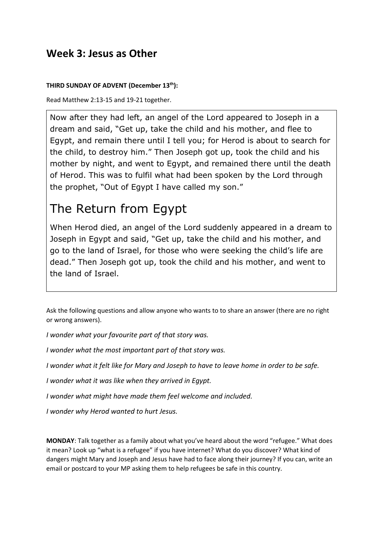### **Week 3: Jesus as Other**

### **THIRD SUNDAY OF ADVENT (December 13 th):**

Read Matthew 2:13-15 and 19-21 together.

Now after they had left, an angel of the Lord appeared to Joseph in a dream and said, "Get up, take the child and his mother, and flee to Egypt, and remain there until I tell you; for Herod is about to search for the child, to destroy him." Then Joseph got up, took the child and his mother by night, and went to Egypt, and remained there until the death of Herod. This was to fulfil what had been spoken by the Lord through the prophet, "Out of Egypt I have called my son."

## The Return from Egypt

When Herod died, an angel of the Lord suddenly appeared in a dream to Joseph in Egypt and said, "Get up, take the child and his mother, and go to the land of Israel, for those who were seeking the child's life are dead." Then Joseph got up, took the child and his mother, and went to the land of Israel.

Ask the following questions and allow anyone who wants to to share an answer (there are no right or wrong answers).

*I wonder what your favourite part of that story was.*

*I wonder what the most important part of that story was.*

*I wonder what it felt like for Mary and Joseph to have to leave home in order to be safe.*

*I wonder what it was like when they arrived in Egypt.*

*I wonder what might have made them feel welcome and included.*

*I wonder why Herod wanted to hurt Jesus.*

**MONDAY**: Talk together as a family about what you've heard about the word "refugee." What does it mean? Look up "what is a refugee" if you have internet? What do you discover? What kind of dangers might Mary and Joseph and Jesus have had to face along their journey? If you can, write an email or postcard to your MP asking them to help refugees be safe in this country.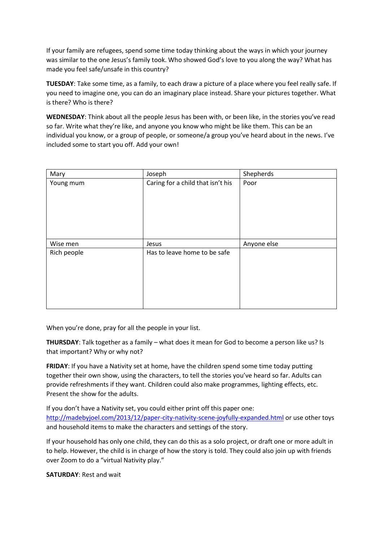If your family are refugees, spend some time today thinking about the ways in which your journey was similar to the one Jesus's family took. Who showed God's love to you along the way? What has made you feel safe/unsafe in this country?

**TUESDAY**: Take some time, as a family, to each draw a picture of a place where you feel really safe. If you need to imagine one, you can do an imaginary place instead. Share your pictures together. What is there? Who is there?

**WEDNESDAY**: Think about all the people Jesus has been with, or been like, in the stories you've read so far. Write what they're like, and anyone you know who might be like them. This can be an individual you know, or a group of people, or someone/a group you've heard about in the news. I've included some to start you off. Add your own!

| Mary        | Joseph                            | Shepherds   |
|-------------|-----------------------------------|-------------|
| Young mum   | Caring for a child that isn't his | Poor        |
| Wise men    | Jesus                             | Anyone else |
| Rich people | Has to leave home to be safe      |             |

When you're done, pray for all the people in your list.

**THURSDAY**: Talk together as a family – what does it mean for God to become a person like us? Is that important? Why or why not?

**FRIDAY**: If you have a Nativity set at home, have the children spend some time today putting together their own show, using the characters, to tell the stories you've heard so far. Adults can provide refreshments if they want. Children could also make programmes, lighting effects, etc. Present the show for the adults.

If you don't have a Nativity set, you could either print off this paper one: <http://madebyjoel.com/2013/12/paper-city-nativity-scene-joyfully-expanded.html> or use other toys and household items to make the characters and settings of the story.

If your household has only one child, they can do this as a solo project, or draft one or more adult in to help. However, the child is in charge of how the story is told. They could also join up with friends over Zoom to do a "virtual Nativity play."

**SATURDAY**: Rest and wait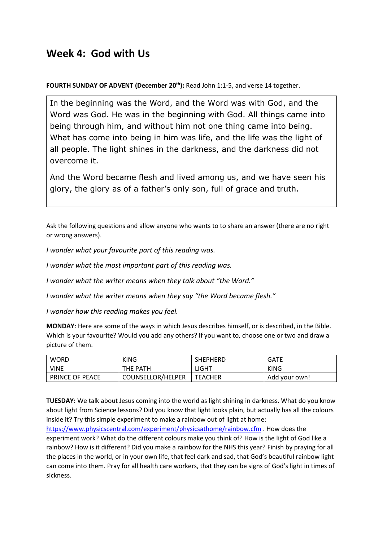### **Week 4: God with Us**

#### **FOURTH SUNDAY OF ADVENT (December 20th):** Read John 1:1-5, and verse 14 together.

In the beginning was the Word, and the Word was with God, and the Word was God. He was in the beginning with God. All things came into being through him, and without him not one thing came into being. What has come into being in him was life, and the life was the light of all people. The light shines in the darkness, and the darkness did not overcome it.

And the Word became flesh and lived among us, and we have seen his glory, the glory as of a father's only son, full of grace and truth.

Ask the following questions and allow anyone who wants to to share an answer (there are no right or wrong answers).

*I wonder what your favourite part of this reading was.*

*I wonder what the most important part of this reading was.*

*I wonder what the writer means when they talk about "the Word."*

*I wonder what the writer means when they say "the Word became flesh."*

*I wonder how this reading makes you feel.*

**MONDAY**: Here are some of the ways in which Jesus describes himself, or is described, in the Bible. Which is your favourite? Would you add any others? If you want to, choose one or two and draw a picture of them.

| <b>WORD</b>            | KING              | <b>SHEPHERD</b> | GATE          |
|------------------------|-------------------|-----------------|---------------|
| <b>VINE</b>            | THE PATH          | LIGHT           | KING          |
| <b>PRINCE OF PEACE</b> | COUNSELLOR/HELPER | <b>TEACHER</b>  | Add your own! |

**TUESDAY:** We talk about Jesus coming into the world as light shining in darkness. What do you know about light from Science lessons? Did you know that light looks plain, but actually has all the colours inside it? Try this simple experiment to make a rainbow out of light at home:

<https://www.physicscentral.com/experiment/physicsathome/rainbow.cfm> . How does the experiment work? What do the different colours make you think of? How is the light of God like a rainbow? How is it different? Did you make a rainbow for the NHS this year? Finish by praying for all the places in the world, or in your own life, that feel dark and sad, that God's beautiful rainbow light can come into them. Pray for all health care workers, that they can be signs of God's light in times of sickness.